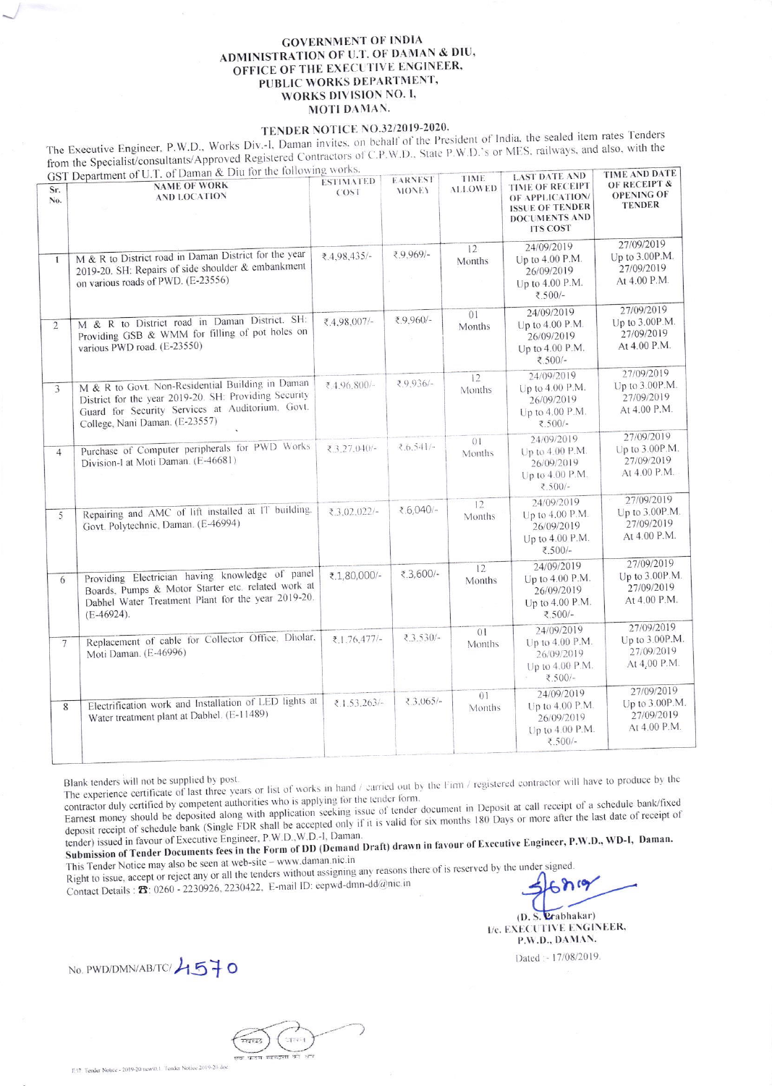## **GOVERNMENT OF INDIA** ADMINISTRATION OF U.T. OF DAMAN & DIU, OFFICE OF THE EXECUTIVE ENGINEER, PUBLIC WORKS DEPARTMENT, WORKS DIVISION NO. I, MOTI DAMAN.

## TENDER NOTICE NO.32/2019-2020.

The Executive Engineer, P.W.D., Works Div.-I, Daman invites, on behalf of the President of India, the sealed item rates Tenders from the Specialist/consultants/Approved Registered Contractors of C.P.W.D.. State P.W.D.'s or MES, railways, and also, with the & Diu for the following works.

|                 | GST Department of $U.1$ . Of Daman $\alpha$ Did for the following work                                                                                                                          | <b>ESTIMATED</b> | <b>EARNEST</b> | TIME           | <b>LAST DATE AND</b>                                                                                           | TIME AND DATE                                              |
|-----------------|-------------------------------------------------------------------------------------------------------------------------------------------------------------------------------------------------|------------------|----------------|----------------|----------------------------------------------------------------------------------------------------------------|------------------------------------------------------------|
| Sr.<br>No.      | <b>NAME OF WORK</b><br><b>AND LOCATION</b>                                                                                                                                                      | COST             | <b>MONEY</b>   | <b>ALLOWED</b> | <b>TIME OF RECEIPT</b><br>OF APPLICATION/<br><b>ISSUE OF TENDER</b><br><b>DOCUMENTS AND</b><br><b>ITS COST</b> | OF RECEIPT &<br><b>OPENING OF</b><br><b>TENDER</b>         |
| $\mathbf{1}$    | M & R to District road in Daman District for the year<br>2019-20. SH: Repairs of side shoulder & embankment<br>on various roads of PWD. (E-23556)                                               | ₹,4,98,435/-     | ₹9,969/-       | 12<br>Months   | 24/09/2019<br>Up to 4.00 P.M.<br>26/09/2019<br>Up to 4.00 P.M.<br>₹.500/-                                      | 27/09/2019<br>Up to 3.00P.M.<br>27/09/2019<br>At 4.00 P.M. |
| $\overline{2}$  | M & R to District road in Daman District. SH:<br>Providing GSB & WMM for filling of pot holes on<br>various PWD road. (E-23550)                                                                 | ₹.4.98.007/-     | ₹9,960/-       | 01<br>Months   | 24/09/2019<br>Up to 4.00 P.M.<br>26/09/2019<br>Up to 4.00 P.M.<br>₹.500/-                                      | 27/09/2019<br>Up to 3.00P.M.<br>27/09/2019<br>At 4.00 P.M. |
| 3               | M & R to Govt. Non-Residential Building in Daman<br>District for the year 2019-20. SH: Providing Security<br>Guard for Security Services at Auditorium, Govt.<br>College, Nani Daman. (E-23557) | ₹.4.96.800/-     | ₹9.936/-       | 12<br>Months   | 24/09/2019<br>Up to 4.00 P.M.<br>26/09/2019<br>Up to 4.00 P.M.<br>₹.500/-                                      | 27/09/2019<br>Up to 3.00P.M.<br>27/09/2019<br>At 4.00 P.M. |
| $\overline{4}$  | Purchase of Computer peripherals for PWD Works<br>Division-I at Moti Daman. (E-46681)                                                                                                           | $23.27.040/-$    | $2.6.541/-$    | 01<br>Months   | 24/09/2019<br>Up to 4.00 P.M.<br>26/09/2019<br>Up to 4.00 P.M.<br>₹.500/-                                      | 27/09/2019<br>Up to 3.00P.M.<br>27/09/2019<br>At 4.00 P.M. |
| 5               | Repairing and AMC of lift installed at IT building.<br>Govt. Polytechnic, Daman. (E-46994)                                                                                                      | $3.02.022/-$     | ₹.6,040/-      | 12<br>Months   | 24/09/2019<br>Up to $4.00$ P.M.<br>26/09/2019<br>Up to 4.00 P.M.<br>₹.500/-                                    | 27/09/2019<br>Up to 3.00P.M.<br>27/09/2019<br>At 4.00 P.M. |
| 6               | Providing Electrician having knowledge of panel<br>Boards, Pumps & Motor Starter etc. related work at<br>Dabhel Water Treatment Plant for the year 2019-20.<br>$(E-46924).$                     | ₹.1,80,000/-     | ₹.3,600/-      | 12<br>Months   | 24/09/2019<br>Up to 4.00 P.M.<br>26/09/2019<br>Up to 4.00 P.M.<br>₹.500/-                                      | 27/09/2019<br>Up to 3.00P.M.<br>27/09/2019<br>At 4.00 P.M. |
| $7\overline{ }$ | Replacement of cable for Collector Office, Dholar,<br>Moti Daman. (E-46996)                                                                                                                     | ₹.1.76.477/-     | ₹.3.530/-      | 01<br>Months   | 24/09/2019<br>Up to 4.00 P.M.<br>26/09/2019<br>Up to 4.00 P.M.<br>₹.500/-                                      | 27/09/2019<br>Up to 3.00P.M.<br>27/09/2019<br>At 4,00 P.M. |
| 8               | Electrification work and Installation of LED lights at<br>Water treatment plant at Dabhel. (E-11489)                                                                                            | $2.1.53.263/-$   | $23.065/-$     | 01<br>Months   | 24/09/2019<br>Up to 4.00 P.M.<br>26/09/2019<br>Up to 4.00 P.M.<br>₹.500/-                                      | 27/09/2019<br>Up to 3.00P.M.<br>27/09/2019<br>At 4.00 P.M. |

The experience certificate of last three years or list of works in hand / carried out by the Firm / registered contractor will have to produce by the contractor duly certified by competent authorities who is applying for the tender form.

Earnest money should be deposited along with application seeking issue of tender document in Deposit at call receipt of a schedule bank/fixed deposit receipt of schedule bank (Single FDR shall be accepted only if it is valid for six months 180 Days or more after the last date of receipt of tender) issued in favour of Executive Engineer, P.W.D., W.D.-I, Daman.

Submission of Tender Documents fees in the Form of DD (Demand Draft) drawn in favour of Executive Engineer, P.W.D., WD-I, Daman. This Tender Notice may also be seen at web-site - www.daman.nic.in

Right to issue, accept or reject any or all the tenders without assigning any reasons there of is reserved by the under signed Contact Details : **23**: 0260 - 2230926, 2230422, E-mail ID: eepwd-dmn-dd@nic.in

(D. S. Prabhakar) I/e. EXECUTIVE ENGINEER, P.W.D., DAMAN.

Dated :- 17/08/2019